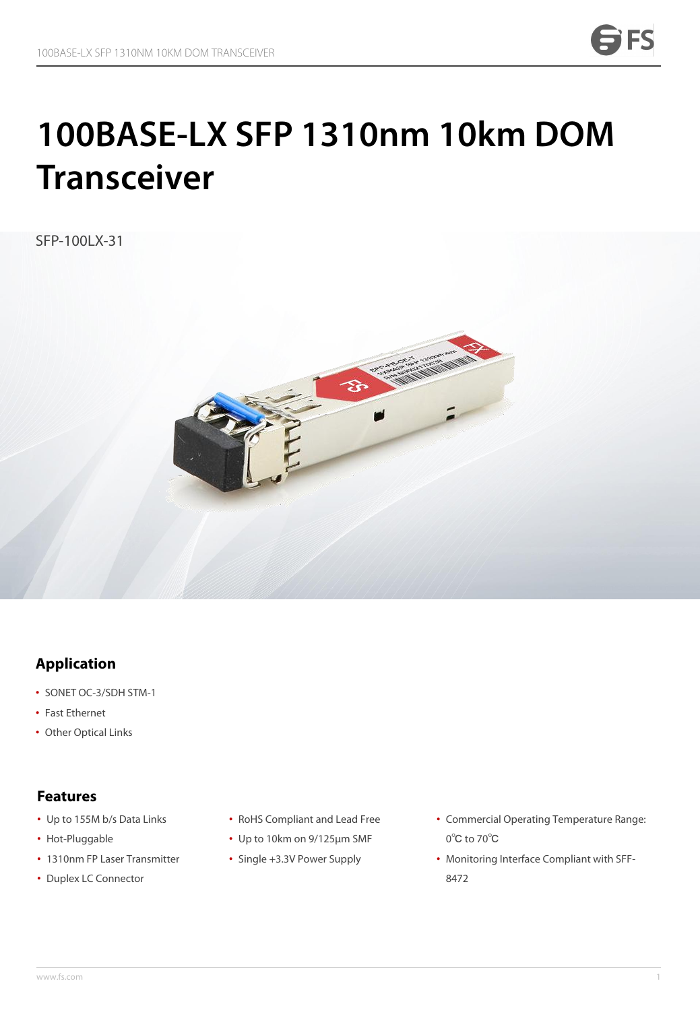# **100BASE-LX SFP 1310nm 10km DOM Transceiver**

SFP-100LX-31



## **Application**

- SONET OC-3/SDH STM-1
- Fast Ethernet
- Other Optical Links

- Up to 155M b/s Data Links
- Hot-Pluggable
- 1310nm FP Laser Transmitter Sing **Features**<br>• Up to 155M b/s Data Links<br>• Hot-Pluggable<br>• 1310nm FP Laser Transmitter<br>• Duplex LC Connector
- 
- RoHS Compliant and Lead Free
- Up to 10km on 9/125μm SMF
- Single +3.3V Power Supply
- Commercial Operating Temperature Range: 0℃ to 70℃
- Monitoring Interface Compliant with SFF- 8472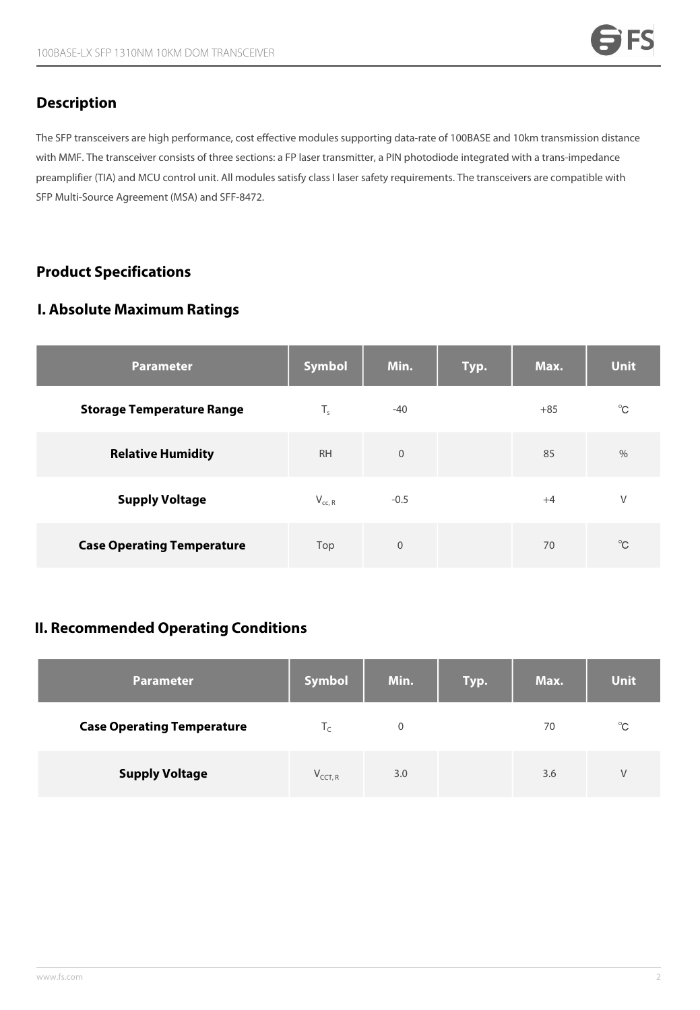#### **Description**

The SFP transceivers are high performance, cost effective modules supporting data-rate of 100BASE and 10km transmission distance with MMF. The transceiver consists of three sections: a FP laser transmitter, a PIN photodiode integrated with a trans-impedance preamplifier (TIA) and MCU control unit. All modules satisfy class I laser safety requirements. The transceivers are compatible with SFP Multi-Source Agreement (MSA) and SFF-8472.

## **Product Specifications**

#### **I. Absolute Maximum Ratings**

| <b>Parameter</b>                  | Symbol      | Min.        | Typ. | Max.  | <b>Unit</b>  |
|-----------------------------------|-------------|-------------|------|-------|--------------|
| <b>Storage Temperature Range</b>  | $T_{s}$     | $-40$       |      | $+85$ | $^{\circ}$ C |
| <b>Relative Humidity</b>          | <b>RH</b>   | $\mathbf 0$ |      | 85    | $\%$         |
| <b>Supply Voltage</b>             | $V_{cc, R}$ | $-0.5$      |      | $+4$  | $\vee$       |
| <b>Case Operating Temperature</b> | Top         | $\mathbf 0$ |      | 70    | $^{\circ}$ C |

#### **II. Recommended Operating Conditions**

| <b>Parameter</b>                  | <b>Symbol</b> | Min. | Typ. | Max. | <b>Unit</b>  |
|-----------------------------------|---------------|------|------|------|--------------|
| <b>Case Operating Temperature</b> | I۰            | 0    |      | 70   | $^{\circ}$ C |
| <b>Supply Voltage</b>             | $V_{CCT, R}$  | 3.0  |      | 3.6  | V            |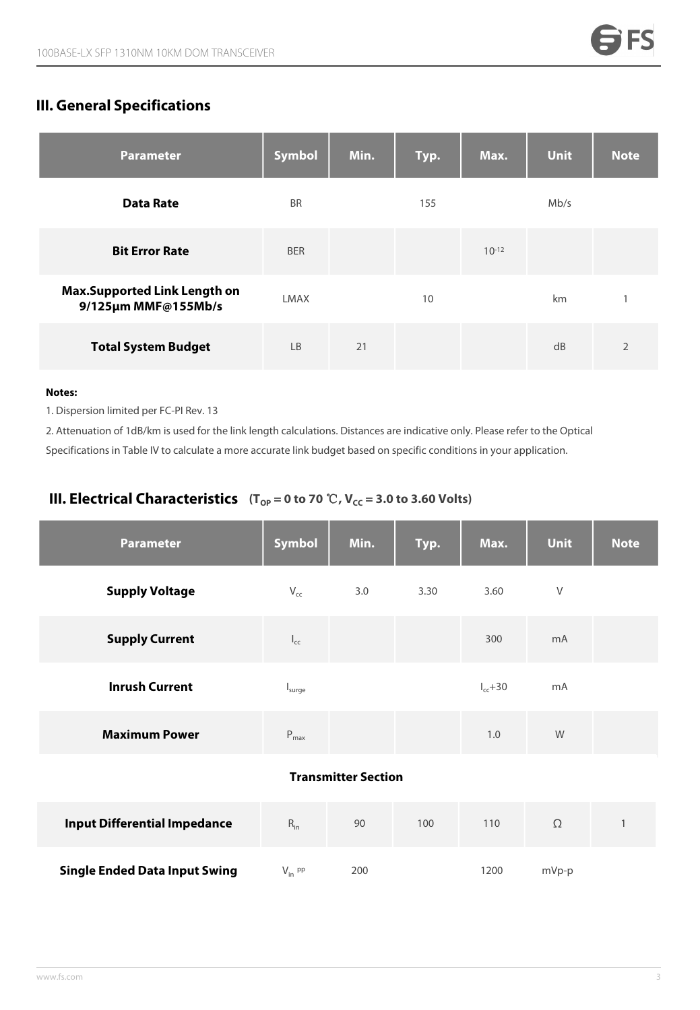# **III. General Specifications**

| <b>Parameter</b>                                           | Symbol      | Min. | Typ. | Max.       | <b>Unit</b> | <b>Note</b>    |
|------------------------------------------------------------|-------------|------|------|------------|-------------|----------------|
| <b>Data Rate</b>                                           | <b>BR</b>   |      | 155  |            | Mb/s        |                |
| <b>Bit Error Rate</b>                                      | <b>BER</b>  |      |      | $10^{-12}$ |             |                |
| <b>Max.Supported Link Length on</b><br>9/125µm MMF@155Mb/s | <b>LMAX</b> |      | 10   |            | km          | $\mathbf{1}$   |
| <b>Total System Budget</b>                                 | <b>LB</b>   | 21   |      |            | dB          | $\overline{2}$ |

#### **Notes:**

1. Dispersion limited per FC-PI Rev. 13

2. Attenuation of 1dB/km is used for the link length calculations. Distances are indicative only. Please refer to the Optical Specifications in Table IV to calculate a more accurate link budget based on specific conditions in your application.

#### **III. Electrical Characteristics**  $(T_{OP} = 0 \text{ to } 70 \text{ } ^\circ\text{C}, V_{CC} = 3.0 \text{ to } 3.60 \text{ Volts})$

| <b>Parameter</b>                     | <b>Symbol</b>               | Min.                       | Typ. | Max.          | <b>Unit</b>   | <b>Note</b>              |
|--------------------------------------|-----------------------------|----------------------------|------|---------------|---------------|--------------------------|
| <b>Supply Voltage</b>                | $V_{cc}$                    | 3.0                        | 3.30 | 3.60          | V             |                          |
| <b>Supply Current</b>                | $I_{cc}$                    |                            |      | 300           | mA            |                          |
| <b>Inrush Current</b>                | I <sub>sure</sub>           |                            |      | $I_{cc} + 30$ | mA            |                          |
| <b>Maximum Power</b>                 | $\mathsf{P}_{\mathsf{max}}$ |                            |      | 1.0           | ${\mathsf W}$ |                          |
|                                      |                             | <b>Transmitter Section</b> |      |               |               |                          |
| <b>Input Differential Impedance</b>  | $R_{in}$                    | 90                         | 100  | 110           | $\Omega$      | $\overline{\phantom{a}}$ |
| <b>Single Ended Data Input Swing</b> | $V_{in}$ pp                 | 200                        |      | 1200          | mVp-p         |                          |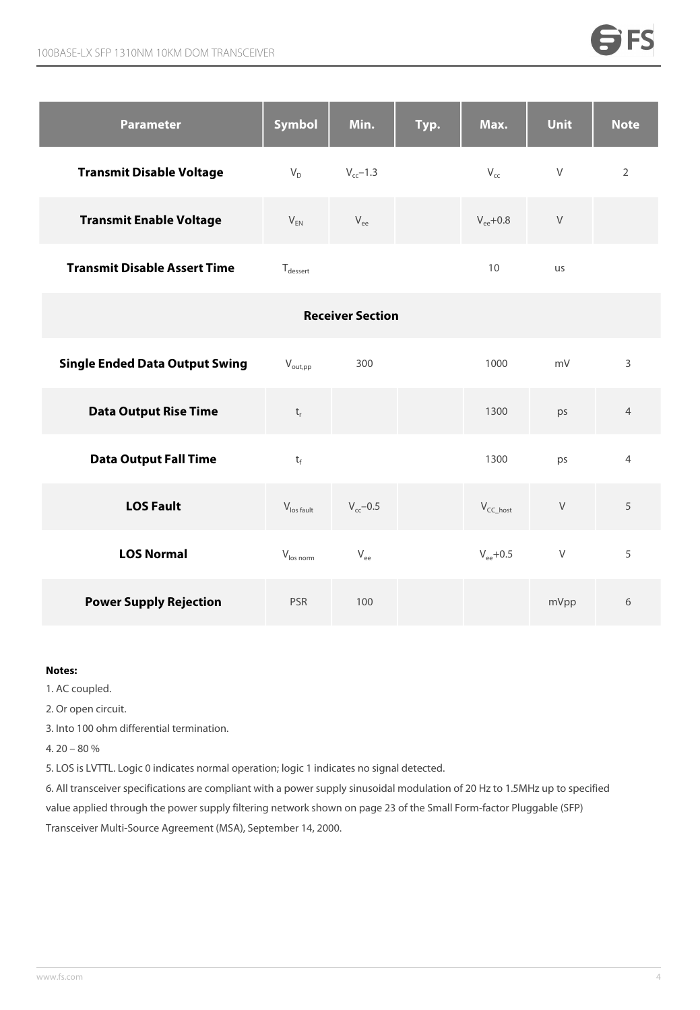| <b>Parameter</b>                    | Symbol       | Min.          | Typ. | Max.          | <b>Unit</b> | <b>Note</b> |
|-------------------------------------|--------------|---------------|------|---------------|-------------|-------------|
| <b>Transmit Disable Voltage</b>     | $V_D$        | $V_{cc}$ –1.3 |      | $V_{cc}$      | V           | 2           |
| <b>Transmit Enable Voltage</b>      | $V_{EN}$     | $V_{ee}$      |      | $V_{ee}$ +0.8 | V           |             |
| <b>Transmit Disable Assert Time</b> | $T_{desert}$ |               |      | 10            | <b>us</b>   |             |

|                                       |                        | <b>Receiver Section</b> |                |        |                |
|---------------------------------------|------------------------|-------------------------|----------------|--------|----------------|
| <b>Single Ended Data Output Swing</b> | $V_{\text{out,pp}}$    | 300                     | 1000           | mV     | 3              |
| <b>Data Output Rise Time</b>          | $t_{r}$                |                         | 1300           | ps     | $\overline{4}$ |
| <b>Data Output Fall Time</b>          | $t_f$                  |                         | 1300           | ps     | $\overline{4}$ |
| <b>LOS Fault</b>                      | $V_{\text{los fault}}$ | $V_{cc}$ -0.5           | $V_{CC\_host}$ | $\vee$ | 5              |
| <b>LOS Normal</b>                     | $V_{\text{los norm}}$  | $\rm V_{ee}$            | $V_{ee}$ +0.5  | $\vee$ | 5              |
| <b>Power Supply Rejection</b>         | <b>PSR</b>             | 100                     |                | mVpp   | 6              |

#### **Notes:**

1. AC coupled.

2. Or open circuit.

3. Into 100 ohm differential termination.

4. 20 – 80 %

5. LOS is LVTTL. Logic 0 indicates normal operation; logic 1 indicates no signal detected.

6. All transceiver specifications are compliant with a powersupply sinusoidal modulation of 20 Hz to 1.5MHz up to specified value applied through the power supply filtering network shown on page 23 of the Small Form-factor Pluggable (SFP) Transceiver Multi-Source Agreement (MSA), September 14, 2000.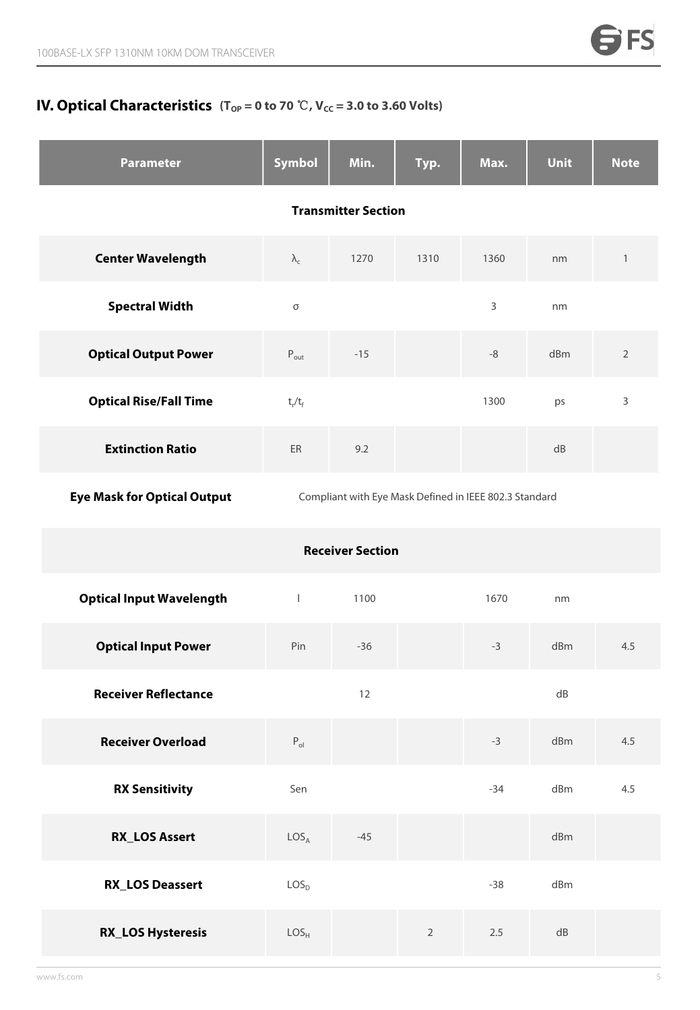### **IV. Optical Characteristics**  $(T_{\text{OP}} = 0 \text{ to } 70 \text{ }^{\circ}\text{C}$ ,  $\text{V}_{\text{CC}} = 3.0 \text{ to } 3.60 \text{ Volts})$

| <b>Parameter</b>                   | <b>Symbol</b>              | Min.                                                   | Typ.       | Max.        | <b>Unit</b> | <b>Note</b>    |  |  |
|------------------------------------|----------------------------|--------------------------------------------------------|------------|-------------|-------------|----------------|--|--|
|                                    | <b>Transmitter Section</b> |                                                        |            |             |             |                |  |  |
| <b>Center Wavelength</b>           | $\lambda_{\rm c}$          | 1270                                                   | 1310       | 1360        | nm          | $\mathbf{1}$   |  |  |
| <b>Spectral Width</b>              | $\sigma$                   |                                                        |            | 3           | nm          |                |  |  |
| <b>Optical Output Power</b>        | $P_{\text{out}}$           | $-15$                                                  |            | $\mbox{-}8$ | dBm         | $\overline{2}$ |  |  |
| <b>Optical Rise/Fall Time</b>      | $t_r/t_f$                  |                                                        |            | 1300        | ps          | 3              |  |  |
| <b>Extinction Ratio</b>            | ER                         | 9.2                                                    |            |             | dB          |                |  |  |
| <b>Eye Mask for Optical Output</b> |                            | Compliant with Eye Mask Defined in IEEE 802.3 Standard |            |             |             |                |  |  |
|                                    |                            | <b>Receiver Section</b>                                |            |             |             |                |  |  |
| <b>Optical Input Wavelength</b>    | $\mathbf{I}$               | 1100                                                   |            | 1670        | nm          |                |  |  |
| <b>Optical Input Power</b>         | Pin                        | $-36$                                                  |            | $-3$        | dBm         | 4.5            |  |  |
| <b>Receiver Reflectance</b>        |                            | 12                                                     |            |             | ${\sf dB}$  |                |  |  |
| <b>Receiver Overload</b>           | $P_{ol}$                   |                                                        |            | $-3$        | dBm         | 4.5            |  |  |
| <b>RX Sensitivity</b>              | Sen                        |                                                        |            | $-34$       | dBm         | 4.5            |  |  |
| <b>RX_LOS Assert</b>               | LOS <sub>A</sub>           | $-45$                                                  |            |             | dBm         |                |  |  |
| <b>RX_LOS Deassert</b>             | LOS <sub>D</sub>           |                                                        |            | $-38$       | dBm         |                |  |  |
| <b>RX_LOS Hysteresis</b>           | LOS <sub>H</sub>           |                                                        | $\sqrt{2}$ | $2.5\,$     | ${\sf dB}$  |                |  |  |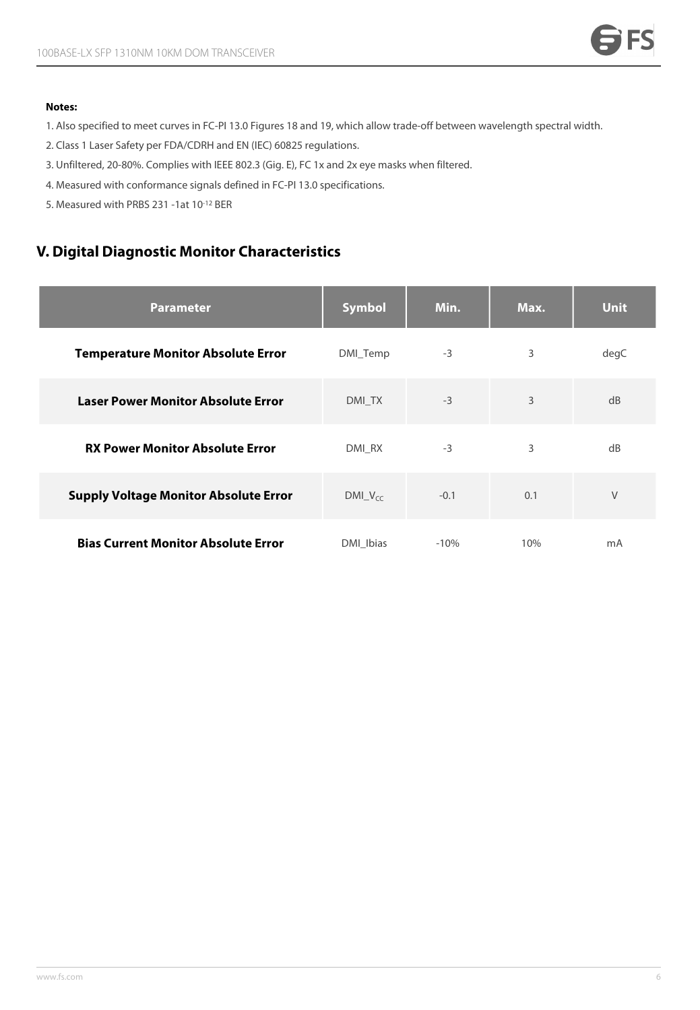#### **Notes:**

- 1. Also specified to meet curves in FC-PI 13.0 Figures 18 and 19, which allow trade-off between wavelength spectral width.
- 2. Class 1 Laser Safety per FDA/CDRH and EN (IEC) 60825 regulations.
- 3. Unfiltered, 20-80%. Complies with IEEE 802.3 (Gig. E), FC 1x and 2x eye masks when filtered.
- 4. Measured with conformance signals defined in FC-PI 13.0 specifications.
- 5. Measured with PRBS 231 -1at 10-12 BER

# **V. Digital Diagnostic Monitor Characteristics**

| <b>Parameter</b>                             | Symbol      | Min.   | Max. | <b>Unit</b> |
|----------------------------------------------|-------------|--------|------|-------------|
| <b>Temperature Monitor Absolute Error</b>    | DMI_Temp    | $-3$   | 3    | degC        |
| <b>Laser Power Monitor Absolute Error</b>    | DMI TX      | $-3$   | 3    | dB          |
| <b>RX Power Monitor Absolute Error</b>       | DMI RX      | $-3$   | 3    | dB          |
| <b>Supply Voltage Monitor Absolute Error</b> | $DMLV_{cc}$ | $-0.1$ | 0.1  | $\vee$      |
| <b>Bias Current Monitor Absolute Error</b>   | DMI_Ibias   | $-10%$ | 10%  | mA          |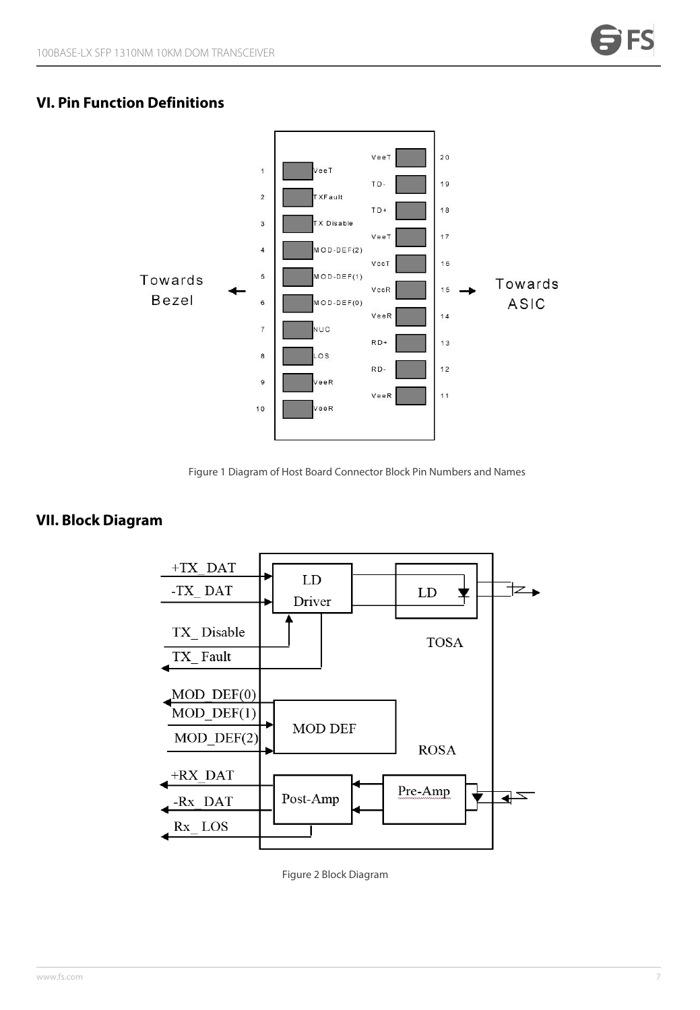#### **VI. Pin Function Definitions**



Figure 1 Diagram of Host Board Connector Block Pin Numbers and Names

#### **VII. Block Diagram**



Figure 2 Block Diagram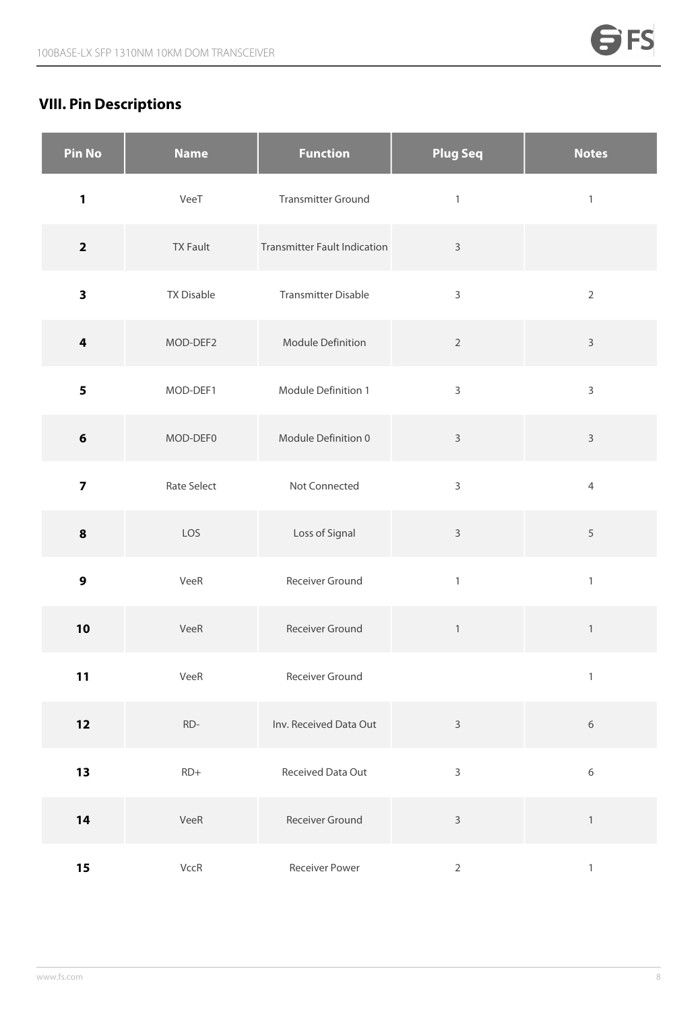# **VIII. Pin Descriptions**

| <b>Pin No</b>           | <b>Name</b>       | <b>Function</b>                     | <b>Plug Seq</b> | <b>Notes</b>   |
|-------------------------|-------------------|-------------------------------------|-----------------|----------------|
| 1                       | VeeT              | <b>Transmitter Ground</b>           | $\mathbbm{1}$   | $\mathbbm{1}$  |
| $\mathbf{2}$            | <b>TX Fault</b>   | <b>Transmitter Fault Indication</b> | $\mathsf{3}$    |                |
| $\overline{\mathbf{3}}$ | <b>TX Disable</b> | <b>Transmitter Disable</b>          | $\mathsf 3$     | $\overline{2}$ |
| $\overline{\mathbf{4}}$ | MOD-DEF2          | Module Definition                   | $\overline{2}$  | $\mathsf{3}$   |
| 5                       | MOD-DEF1          | Module Definition 1                 | $\mathsf 3$     | $\mathbf{3}$   |
| $6\phantom{1}$          | MOD-DEF0          | Module Definition 0                 | $\mathbf{3}$    | $\mathbf{3}$   |
| $\overline{\mathbf{z}}$ | Rate Select       | Not Connected                       | 3               | $\overline{4}$ |
| 8                       | LOS               | Loss of Signal                      | $\mathsf{3}$    | 5              |
| $\boldsymbol{9}$        | VeeR              | Receiver Ground                     | $\mathbf{1}$    | $\mathbbm{1}$  |
| 10                      | VeeR              | Receiver Ground                     | $\,1\,$         | $\mathbf{1}$   |
| 11                      | VeeR              | Receiver Ground                     |                 | $\mathbbm{1}$  |
| 12                      | $RD-$             | Inv. Received Data Out              | $\mathsf 3$     | $\,$ 6 $\,$    |
| 13                      | $RD+$             | Received Data Out                   | $\mathsf 3$     | $\,$ 6 $\,$    |
| 14                      | VeeR              | Receiver Ground                     | $\mathsf 3$     | $\,1\,$        |
| 15                      | VccR              | Receiver Power                      | $\overline{2}$  | $\,1$          |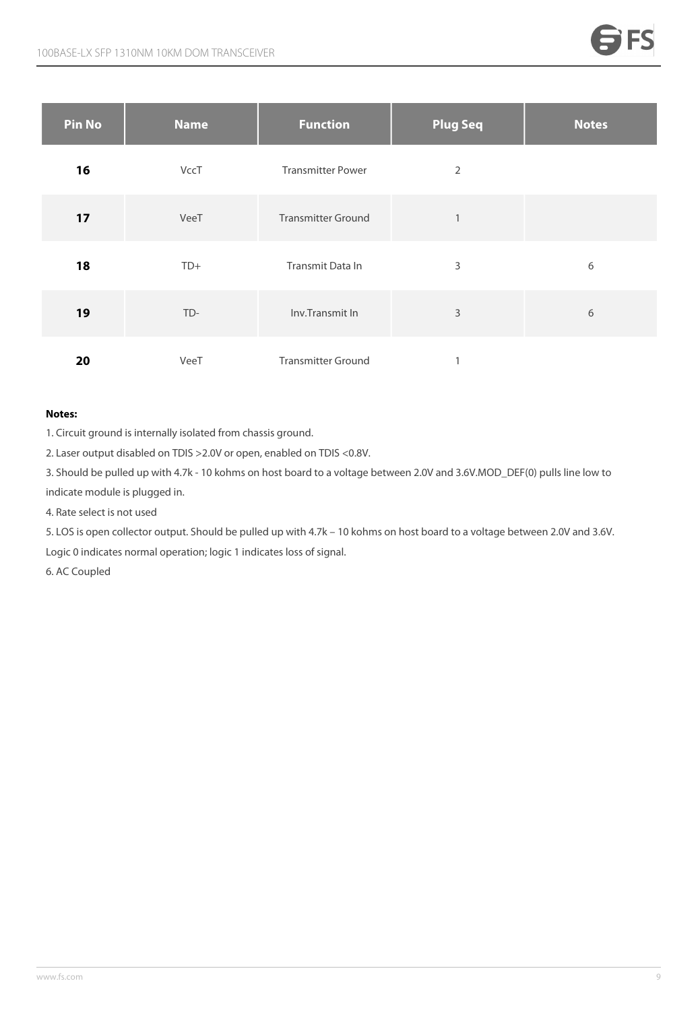| <b>Pin No</b> | <b>Name</b> | <b>Function</b>           | <b>Plug Seq</b> | <b>Notes</b> |
|---------------|-------------|---------------------------|-----------------|--------------|
| 16            | VccT        | <b>Transmitter Power</b>  | 2               |              |
| 17            | VeeT        | <b>Transmitter Ground</b> | $\mathbf{1}$    |              |
| 18            | $TD+$       | Transmit Data In          | 3               | 6            |
| 19            | TD-         | Inv.Transmit In           | 3               | 6            |
| 20            | VeeT        | <b>Transmitter Ground</b> |                 |              |

#### **Notes:**

1. Circuit ground is internally isolated from chassis ground.

2. Laser output disabled on TDIS >2.0V or open, enabled on TDIS <0.8V.

3. Should be pulled up with 4.7k - 10 kohms on host board to a voltage between 2.0V and 3.6V.MOD\_DEF(0) pulls line low to indicate module is plugged in.

4. Rate select is not used

5. LOS is open collector output. Should be pulled up with 4.7k – 10 kohms on host board to a voltage between 2.0V and 3.6V. Logic 0 indicates normal operation; logic 1 indicates loss of signal.

6. AC Coupled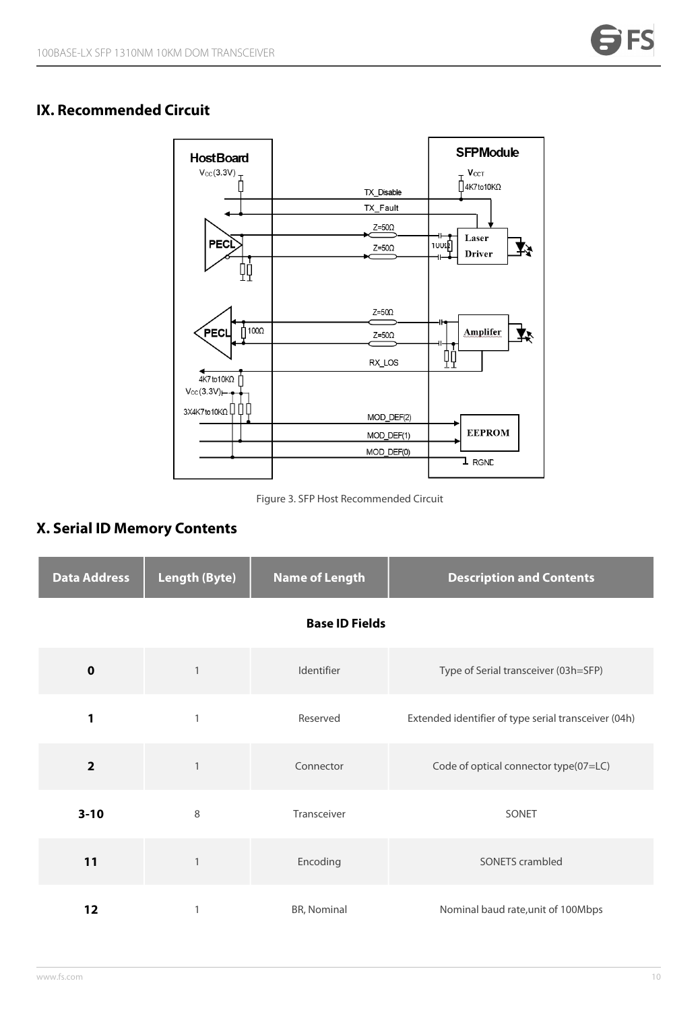#### **IX. Recommended Circuit**



Figure 3. SFP Host Recommended Circuit

# **X. Serial ID Memory Contents**

| <b>Data Address</b> | <b>Length (Byte)</b> | <b>Name of Length</b> | <b>Description and Contents</b>                      |  |  |
|---------------------|----------------------|-----------------------|------------------------------------------------------|--|--|
|                     |                      | <b>Base ID Fields</b> |                                                      |  |  |
| $\mathbf 0$         | 1                    | Identifier            | Type of Serial transceiver (03h=SFP)                 |  |  |
| 1                   |                      | Reserved              | Extended identifier of type serial transceiver (04h) |  |  |
| $\overline{2}$      |                      | Connector             | Code of optical connector type(07=LC)                |  |  |
| $3 - 10$            | 8                    | Transceiver           | SONET                                                |  |  |
| 11                  |                      | Encoding              | SONETS crambled                                      |  |  |
| 12                  |                      | BR, Nominal           | Nominal baud rate, unit of 100Mbps                   |  |  |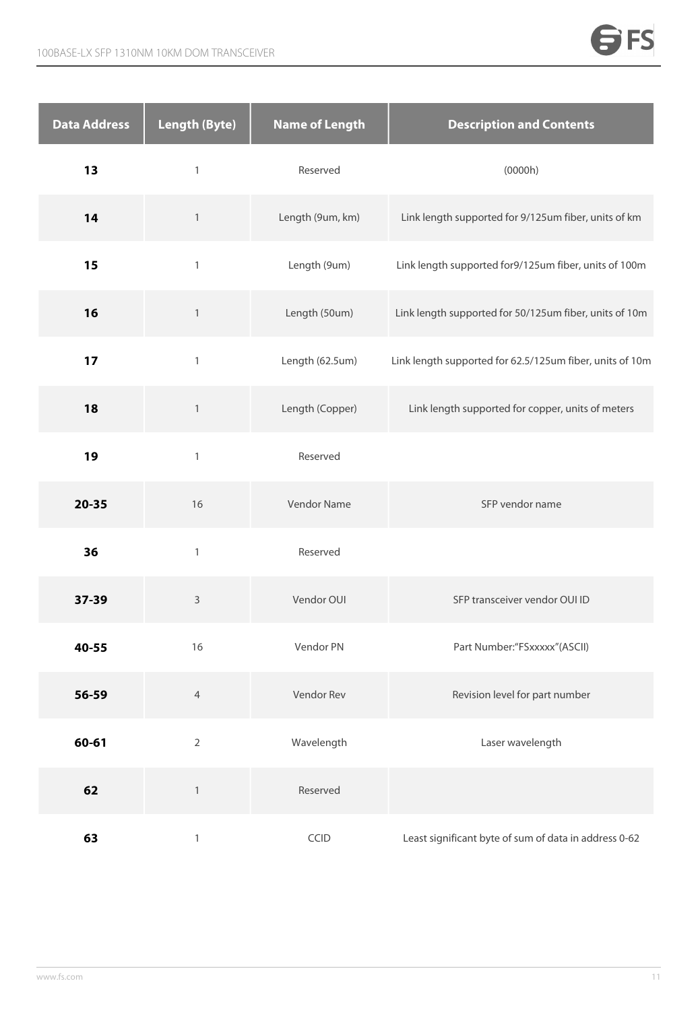| Data Address | <b>Length (Byte)</b> | <b>Name of Length</b> | <b>Description and Contents</b>                          |
|--------------|----------------------|-----------------------|----------------------------------------------------------|
| 13           | $\mathbf{1}$         | Reserved              | (0000h)                                                  |
| 14           | $\mathbf{1}$         | Length (9um, km)      | Link length supported for 9/125um fiber, units of km     |
| 15           | $\mathbf{1}$         | Length (9um)          | Link length supported for9/125um fiber, units of 100m    |
| 16           | $\mathbf{1}$         | Length (50um)         | Link length supported for 50/125um fiber, units of 10m   |
| 17           | $\mathbbm{1}$        | Length (62.5um)       | Link length supported for 62.5/125um fiber, units of 10m |
| 18           | $\,1\,$              | Length (Copper)       | Link length supported for copper, units of meters        |
| 19           | $\mathbbm{1}$        | Reserved              |                                                          |
| $20 - 35$    | 16                   | Vendor Name           | SFP vendor name                                          |
| 36           | $\mathbf{1}$         | Reserved              |                                                          |
| 37-39        | $\mathsf 3$          | Vendor OUI            | SFP transceiver vendor OUI ID                            |
| 40-55        | 16                   | Vendor PN             | Part Number:"FSxxxxx"(ASCII)                             |
| 56-59        | $\overline{4}$       | Vendor Rev            | Revision level for part number                           |
| 60-61        | $\overline{2}$       | Wavelength            | Laser wavelength                                         |
| 62           | $\,1\,$              | Reserved              |                                                          |
| 63           | $\mathbf{1}$         | CCID                  | Least significant byte of sum of data in address 0-62    |

 $\Rightarrow$ FS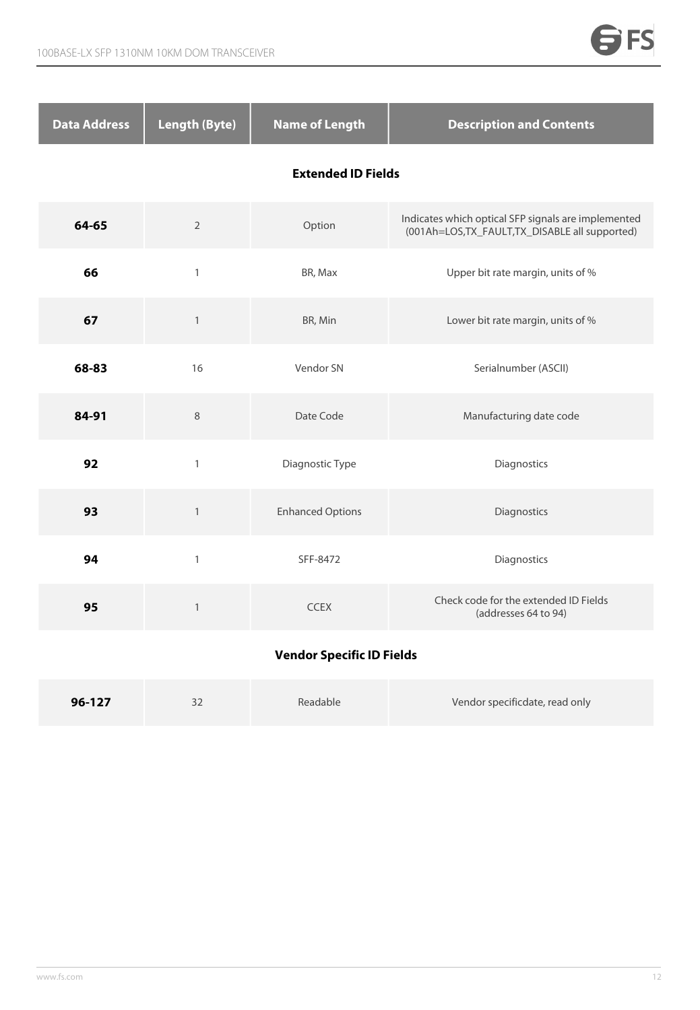| <b>Data Address</b>              | <b>Length (Byte)</b> | <b>Name of Length</b>   | <b>Description and Contents</b>                                                                        |  |  |  |
|----------------------------------|----------------------|-------------------------|--------------------------------------------------------------------------------------------------------|--|--|--|
| <b>Extended ID Fields</b>        |                      |                         |                                                                                                        |  |  |  |
| 64-65                            | $\sqrt{2}$           | Option                  | Indicates which optical SFP signals are implemented<br>(001Ah=LOS, TX_FAULT, TX_DISABLE all supported) |  |  |  |
| 66                               | $\mathbf{1}$         | BR, Max                 | Upper bit rate margin, units of %                                                                      |  |  |  |
| 67                               | $\mathbf{1}$         | BR, Min                 | Lower bit rate margin, units of %                                                                      |  |  |  |
| 68-83                            | 16                   | Vendor SN               | Serialnumber (ASCII)                                                                                   |  |  |  |
| 84-91                            | $\,8\,$              | Date Code               | Manufacturing date code                                                                                |  |  |  |
| 92                               | $\mathbf{1}$         | Diagnostic Type         | Diagnostics                                                                                            |  |  |  |
| 93                               | $\mathbf{1}$         | <b>Enhanced Options</b> | Diagnostics                                                                                            |  |  |  |
| 94                               | $\mathbf{1}$         | SFF-8472                | Diagnostics                                                                                            |  |  |  |
| 95                               | $\mathbf{1}$         | <b>CCEX</b>             | Check code for the extended ID Fields<br>(addresses 64 to 94)                                          |  |  |  |
| <b>Vendor Specific ID Fields</b> |                      |                         |                                                                                                        |  |  |  |

# **96-127** 32 Readable Vendor specificdate, read only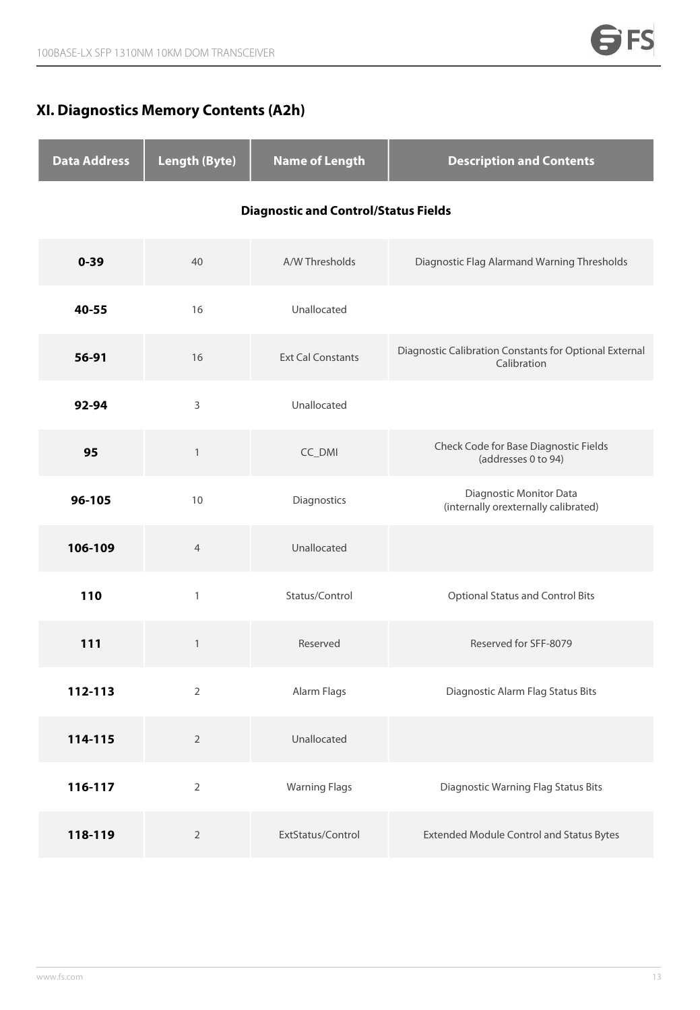# **XI. Diagnostics Memory Contents (A2h)**

| <b>Data Address</b> | <b>Length (Byte)</b> | <b>Name of Length</b>                       | <b>Description and Contents</b>                                       |
|---------------------|----------------------|---------------------------------------------|-----------------------------------------------------------------------|
|                     |                      | <b>Diagnostic and Control/Status Fields</b> |                                                                       |
| $0 - 39$            | 40                   | A/W Thresholds                              | Diagnostic Flag Alarmand Warning Thresholds                           |
| 40-55               | 16                   | Unallocated                                 |                                                                       |
| 56-91               | 16                   | <b>Ext Cal Constants</b>                    | Diagnostic Calibration Constants for Optional External<br>Calibration |
| 92-94               | 3                    | Unallocated                                 |                                                                       |
| 95                  | $\mathbf{1}$         | CC_DMI                                      | Check Code for Base Diagnostic Fields<br>(addresses 0 to 94)          |
| 96-105              | 10                   | Diagnostics                                 | Diagnostic Monitor Data<br>(internally orexternally calibrated)       |
| 106-109             | $\overline{4}$       | Unallocated                                 |                                                                       |
| 110                 | $\mathbf{1}$         | Status/Control                              | <b>Optional Status and Control Bits</b>                               |
| 111                 | $\mathbf{1}$         | Reserved                                    | Reserved for SFF-8079                                                 |
| 112-113             | $\overline{2}$       | Alarm Flags                                 | Diagnostic Alarm Flag Status Bits                                     |
| 114-115             | $\overline{2}$       | Unallocated                                 |                                                                       |
| 116-117             | $\overline{2}$       | <b>Warning Flags</b>                        | <b>Diagnostic Warning Flag Status Bits</b>                            |
| 118-119             | $\overline{2}$       | ExtStatus/Control                           | <b>Extended Module Control and Status Bytes</b>                       |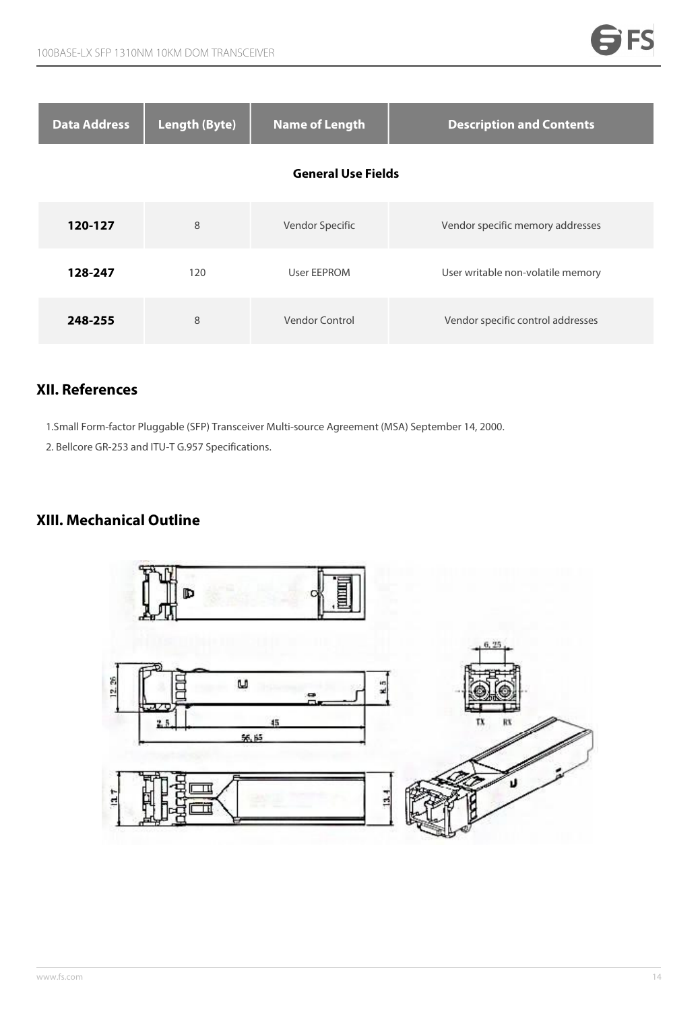| <b>Data Address</b> | <b>Length (Byte)</b> | <b>Name of Length</b>     | <b>Description and Contents</b>   |
|---------------------|----------------------|---------------------------|-----------------------------------|
|                     |                      | <b>General Use Fields</b> |                                   |
| 120-127             | 8                    | Vendor Specific           | Vendor specific memory addresses  |
| 128-247             | 120                  | User EEPROM               | User writable non-volatile memory |
| 248-255             | 8                    | Vendor Control            | Vendor specific control addresses |

#### **XII. References**

1.Small Form-factor Pluggable (SFP) Transceiver Multi-source Agreement (MSA) September 14, 2000.

2. Bellcore GR-253 and ITU-T G.957 Specifications.

# **XIII. Mechanical Outline**

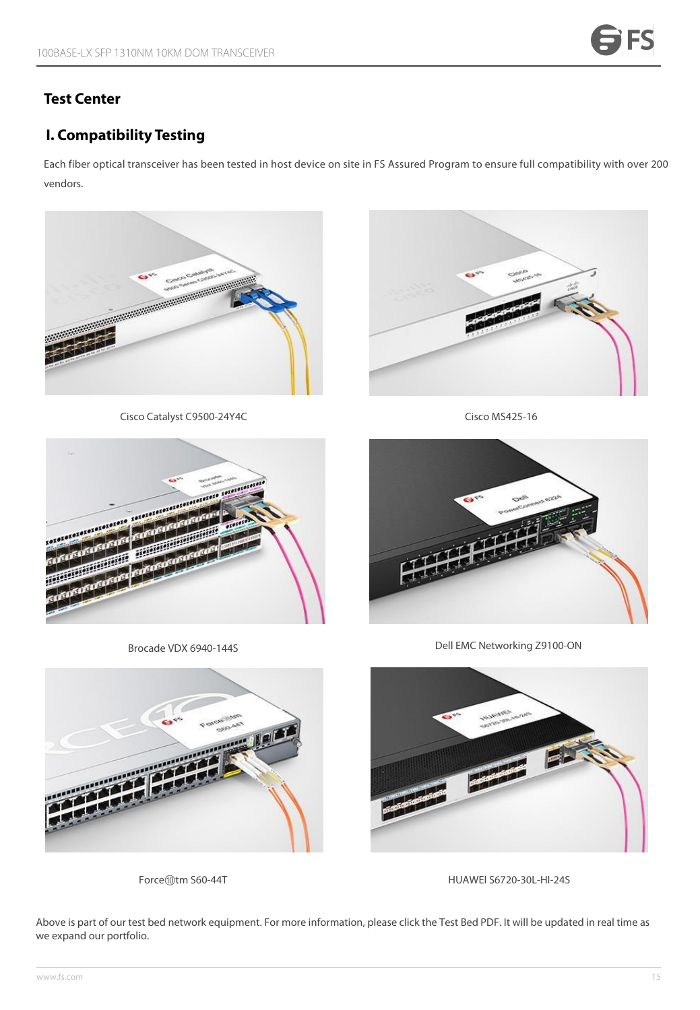### **Test Center**

# **I. Compatibility Testing**

Each fiber optical transceiver has been tested in host device on site in FS Assured Program to ensure full compatibility with over 200 vendors.



Cisco Catalyst C9500-24Y4C



Cisco MS425-16



Brocade VDX 6940-144S



Dell EMC Networking Z9100-ON





Force⑩tm S60-44T <br>
HUAWEI S6720-30L-HI-24S

Above is part of our test bed network equipment. For more information, please click the Test Bed [PDF.](https://img-en.fs.com/file/compatibility_list/transceivers-supported-on-switches.pdf) It will be updated in real time as we expand our portfolio.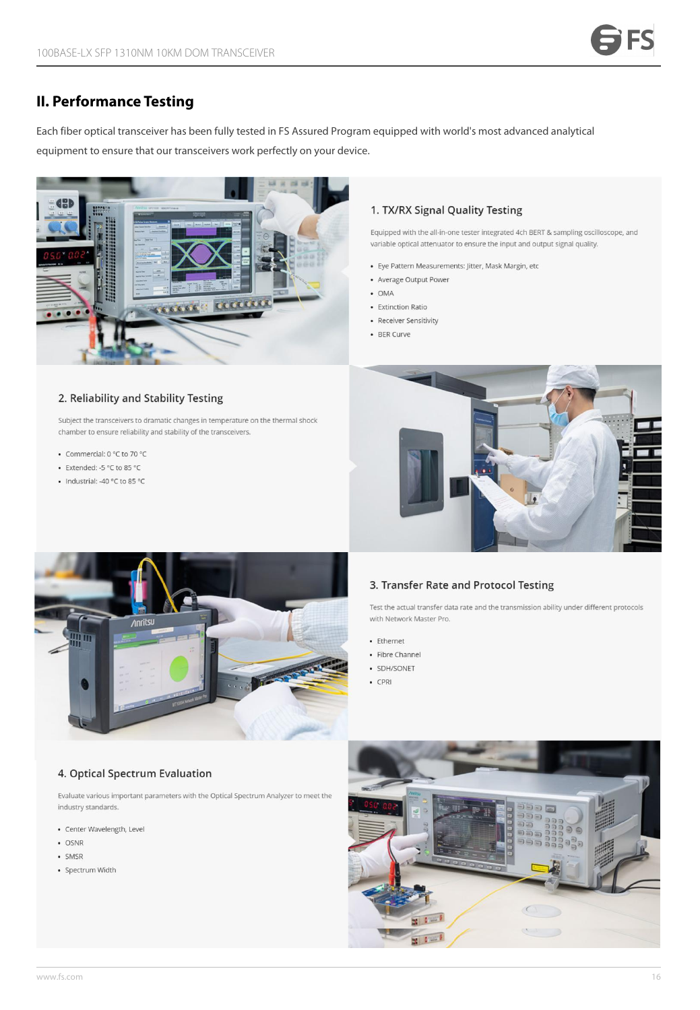#### **II. Performance Testing**

Each fiber optical transceiver has been fully tested in FSAssured Program equipped with world's most advanced analytical equipment to ensure that our transceivers work perfectly on your device.



#### 1. TX/RX Signal Quality Testing

Equipped with the all-in-one tester integrated 4ch BERT & sampling oscilloscope, and variable optical attenuator to ensure the input and output signal quality.

- · Eye Pattern Measurements: Jitter, Mask Margin, etc
- Average Output Power
- $\bullet$  OMA
- Extinction Ratio
- Receiver Sensitivity
- BER Curve

#### 2. Reliability and Stability Testing

Subject the transceivers to dramatic changes in temperature on the thermal shock chamber to ensure reliability and stability of the transceivers.

- Commercial: 0 °C to 70 °C
- Extended: -5 °C to 85 °C
- Industrial: -40 °C to 85 °C





#### 3. Transfer Rate and Protocol Testing

Test the actual transfer data rate and the transmission ability under different protocols with Network Master Pro.

- Ethernet
- Fibre Channel
- · SDH/SONET
- $\cdot$  CPRI

#### 4. Optical Spectrum Evaluation

Evaluate various important parameters with the Optical Spectrum Analyzer to meet the industry standards.

- · Center Wavelength, Level
- · OSNR
- · SMSR
- · Spectrum Width

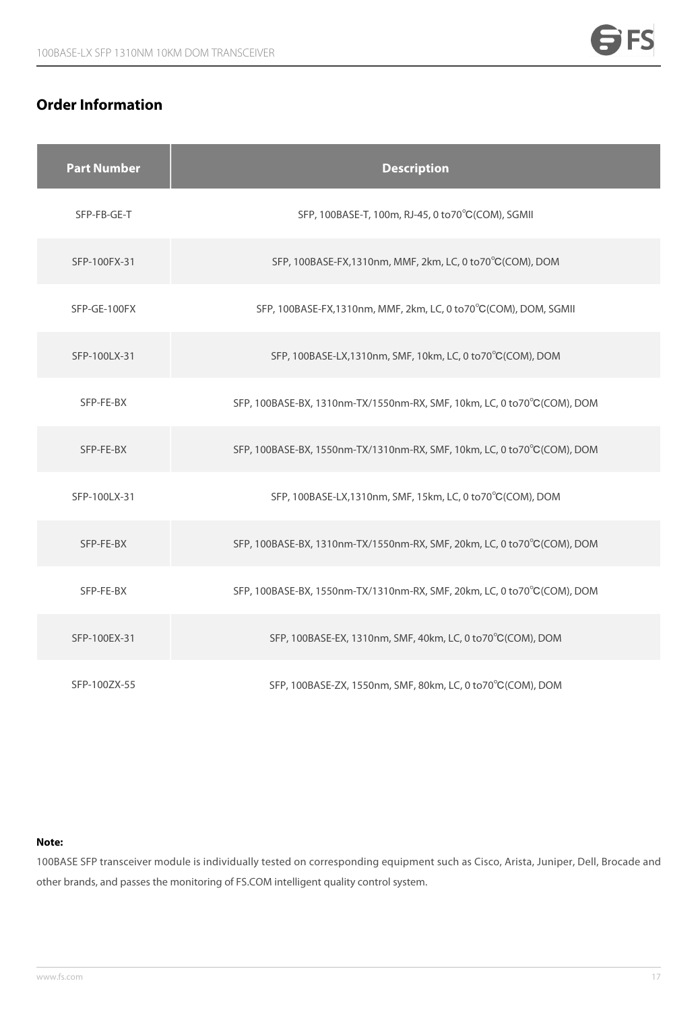# **Order Information**

|  | <b>Part Number</b> | <b>Description</b>                                                      |
|--|--------------------|-------------------------------------------------------------------------|
|  | SFP-FB-GE-T        | SFP, 100BASE-T, 100m, RJ-45, 0 to 70°C (COM), SGMII                     |
|  | SFP-100FX-31       | SFP, 100BASE-FX, 1310nm, MMF, 2km, LC, 0 to 70°C (COM), DOM             |
|  | SFP-GE-100FX       | SFP, 100BASE-FX, 1310nm, MMF, 2km, LC, 0 to 70°C (COM), DOM, SGMII      |
|  | SFP-100LX-31       | SFP, 100BASE-LX, 1310nm, SMF, 10km, LC, 0 to 70°C (COM), DOM            |
|  | SFP-FE-BX          | SFP, 100BASE-BX, 1310nm-TX/1550nm-RX, SMF, 10km, LC, 0 to70°C(COM), DOM |
|  | SFP-FE-BX          | SFP, 100BASE-BX, 1550nm-TX/1310nm-RX, SMF, 10km, LC, 0 to70°C(COM), DOM |
|  | SFP-100LX-31       | SFP, 100BASE-LX, 1310nm, SMF, 15km, LC, 0 to 70°C (COM), DOM            |
|  | SFP-FE-BX          | SFP, 100BASE-BX, 1310nm-TX/1550nm-RX, SMF, 20km, LC, 0 to70°C(COM), DOM |
|  | SFP-FE-BX          | SFP, 100BASE-BX, 1550nm-TX/1310nm-RX, SMF, 20km, LC, 0 to70°C(COM), DOM |
|  | SFP-100EX-31       | SFP, 100BASE-EX, 1310nm, SMF, 40km, LC, 0 to70°C(COM), DOM              |
|  | SFP-100ZX-55       | SFP, 100BASE-ZX, 1550nm, SMF, 80km, LC, 0 to70°C(COM), DOM              |

#### **Note:**

100BASE SFP transceiver module is individually tested on corresponding equipment such as Cisco, Arista, Juniper, Dell, Brocade and other brands, and passes the monitoring of FS.COM intelligent quality control system.